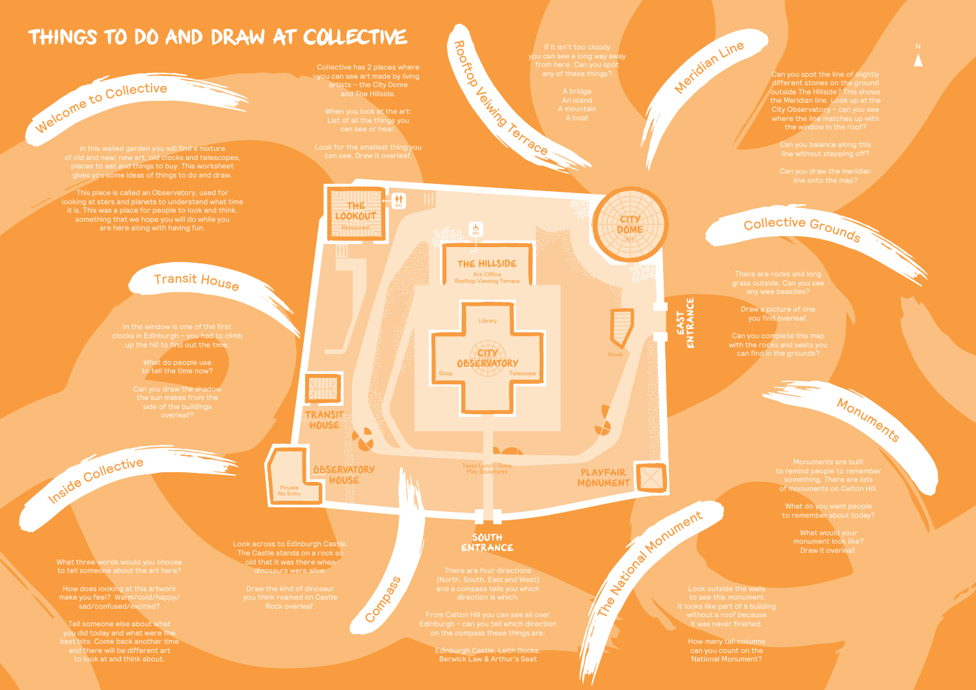What would your monument look like? Draw it overleaf

Can you spot the line of slightly different stones on the ground outside The Hillside? This shows the Meridian line. Look up at the City Observatory – can you see where the line matches up with the window in the roof?

## Collective Grounds

Draw a picture of one you find overleaf.

Can you complete this map with the rocks and seats you can find in the grounds?

of monuments on Calton Hill.

Monuments

What do you want people to remember about today?

Edinburgh Castle, Leith Docks, **Berwick Law & Arthur's Seat** 

can you count on the National Monument?



and there will be different art to look at and think about.